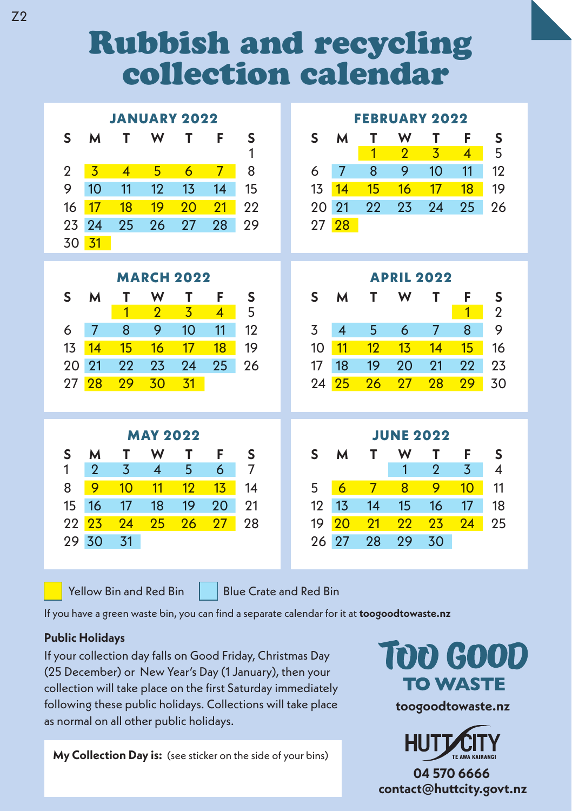## Rubbish and recycling collection calendar

|                   |                |                |                          | <b>JANUARY 2022</b> |                | <b>FEBRUARY 2022</b> |    |                   |                |                |                |                |             |  |
|-------------------|----------------|----------------|--------------------------|---------------------|----------------|----------------------|----|-------------------|----------------|----------------|----------------|----------------|-------------|--|
| S                 | м              | т              | W                        | т                   | F              | S                    | S  | м                 | т              | W              | т              | F              | S           |  |
|                   |                |                |                          |                     |                | 1                    |    |                   | 1              | $\overline{2}$ | 3              | 4              | 5           |  |
| $\overline{2}$    | 3              | $\overline{4}$ | 5                        | 6                   | $\overline{7}$ | 8                    | 6  | 7                 | 8              | 9              | 10             | 11             | 12          |  |
| 9                 | 10             | 11             | 12                       | 13                  | 14             | 15                   | 13 | 14                | 15             | 16             | 17             | 18             | 19          |  |
| 16                | 17             | 18             | 19                       | 20                  | 21             | 22                   | 20 | 21                | 22             | 23             | 24             | 25             | 26          |  |
| 23                | 24             | 25             | 26                       | 27                  | 28             | 29                   | 27 | 28                |                |                |                |                |             |  |
| 30                | 31             |                |                          |                     |                |                      |    |                   |                |                |                |                |             |  |
| <b>MARCH 2022</b> |                |                |                          |                     |                |                      |    | <b>APRIL 2022</b> |                |                |                |                |             |  |
| S                 | М              | т              | W                        | т                   | F              | S                    | S  | м                 | Т              | W              | Т              | F              | S           |  |
|                   |                | 1              | $\overline{2}$           | 3                   | $\overline{4}$ | 5                    |    |                   |                |                |                | $\overline{1}$ | $\mathbf 2$ |  |
| 6                 | $\overline{7}$ | 8              | 9                        | 10                  | 11             | 12                   | 3  | $\overline{4}$    | 5              | 6              | $\overline{7}$ | 8              | 9           |  |
| 13                | 14             | 15             | 16                       | 17                  | 18             | 19                   | 10 | 11                | 12             | 1 <sub>3</sub> | 14             | 15             | 16          |  |
| 20                | 21             | 22             | 23                       | 24                  | 25             | 26                   | 17 | 18                | 19             | 20             | 21             | 22             | 23          |  |
| 27                | 28             | 29             | 30                       | 31                  |                |                      | 24 | 25                | 26             | 27             | 28             | 29             | 30          |  |
|                   |                |                |                          |                     |                |                      |    |                   |                |                |                |                |             |  |
| <b>MAY 2022</b>   |                |                |                          |                     |                |                      |    | <b>JUNE 2022</b>  |                |                |                |                |             |  |
| S                 | М              | т              | W                        | т                   | F              | S                    | S  | м                 | т              | W              | т              | F              | S           |  |
| 1                 | $\overline{2}$ | 3              | $\overline{\mathcal{A}}$ | 5                   | 6              | 7                    |    |                   |                | 1              | $\overline{2}$ | 3              | 4           |  |
| 8                 | 9              | 10             | 11                       | 12                  | 13             | 14                   | 5  | 6                 | $\overline{7}$ | 8              | 9              | 10             | 11          |  |
| 15                | 16             | 17             | 18                       | 19                  | 20             | 21                   | 12 | 13                | 14             | 15             | 16             | 17             | 18          |  |
| 22                | 23             | 24             | 25                       | 26                  | 27             | 28                   | 19 | 20                | 21             | 22             | 23             | 24             | 25          |  |
|                   | 30             | 31             |                          |                     |                |                      | 26 | 27                | 28             | 29             | 30             |                |             |  |

Yellow Bin and Red Bin  $\parallel$  Blue Crate and Red Bin

If you have a green waste bin, you can find a separate calendar for it at **toogoodtowaste.nz**

## **Public Holidays**

If your collection day falls on Good Friday, Christmas Day (25 December) or New Year's Day (1 January), then your collection will take place on the first Saturday immediately following these public holidays. Collections will take place as normal on all other public holidays.

**My Collection Day is:** (see sticker on the side of your bins)

TOO GOOD **TO WASTE** 

**toogoodtowaste.nz**



**04 570 6666 contact@hucity.govt.nz**